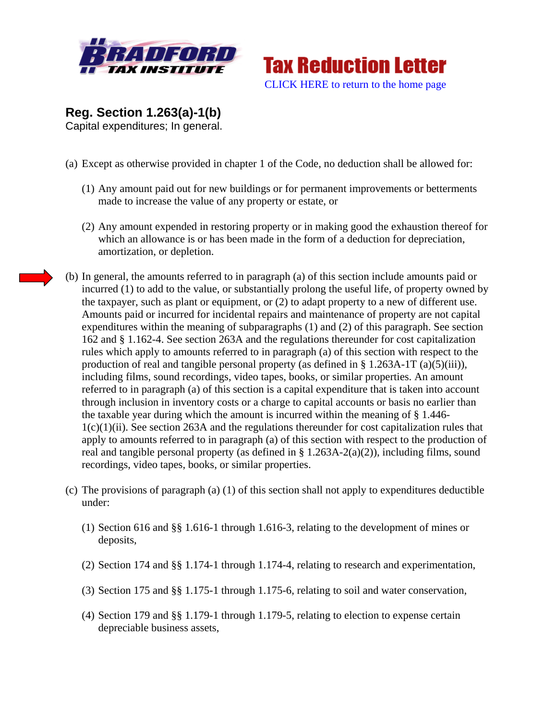



**Reg. Section 1.263(a)-1(b)**  Capital expenditures; In general.

- (a) Except as otherwise provided in chapter 1 of the Code, no deduction shall be allowed for:
	- (1) Any amount paid out for new buildings or for permanent improvements or betterments made to increase the value of any property or estate, or
	- (2) Any amount expended in restoring property or in making good the exhaustion thereof for which an allowance is or has been made in the form of a deduction for depreciation, amortization, or depletion.
- (b) In general, the amounts referred to in paragraph (a) of this section include amounts paid or incurred (1) to add to the value, or substantially prolong the useful life, of property owned by the taxpayer, such as plant or equipment, or (2) to adapt property to a new of different use. Amounts paid or incurred for incidental repairs and maintenance of property are not capital expenditures within the meaning of subparagraphs (1) and (2) of this paragraph. See section 162 and § 1.162-4. See section 263A and the regulations thereunder for cost capitalization rules which apply to amounts referred to in paragraph (a) of this section with respect to the production of real and tangible personal property (as defined in  $\S$  1.263A-1T (a)(5)(iii)), including films, sound recordings, video tapes, books, or similar properties. An amount referred to in paragraph (a) of this section is a capital expenditure that is taken into account through inclusion in inventory costs or a charge to capital accounts or basis no earlier than the taxable year during which the amount is incurred within the meaning of § 1.446- 1(c)(1)(ii). See section 263A and the regulations thereunder for cost capitalization rules that apply to amounts referred to in paragraph (a) of this section with respect to the production of real and tangible personal property (as defined in  $\S 1.263A-2(a)(2)$ ), including films, sound recordings, video tapes, books, or similar properties.
- (c) The provisions of paragraph (a) (1) of this section shall not apply to expenditures deductible under:
	- (1) Section 616 and §§ 1.616-1 through 1.616-3, relating to the development of mines or deposits,
	- (2) Section 174 and §§ 1.174-1 through 1.174-4, relating to research and experimentation,
	- (3) Section 175 and §§ 1.175-1 through 1.175-6, relating to soil and water conservation,
	- (4) Section 179 and §§ 1.179-1 through 1.179-5, relating to election to expense certain depreciable business assets,